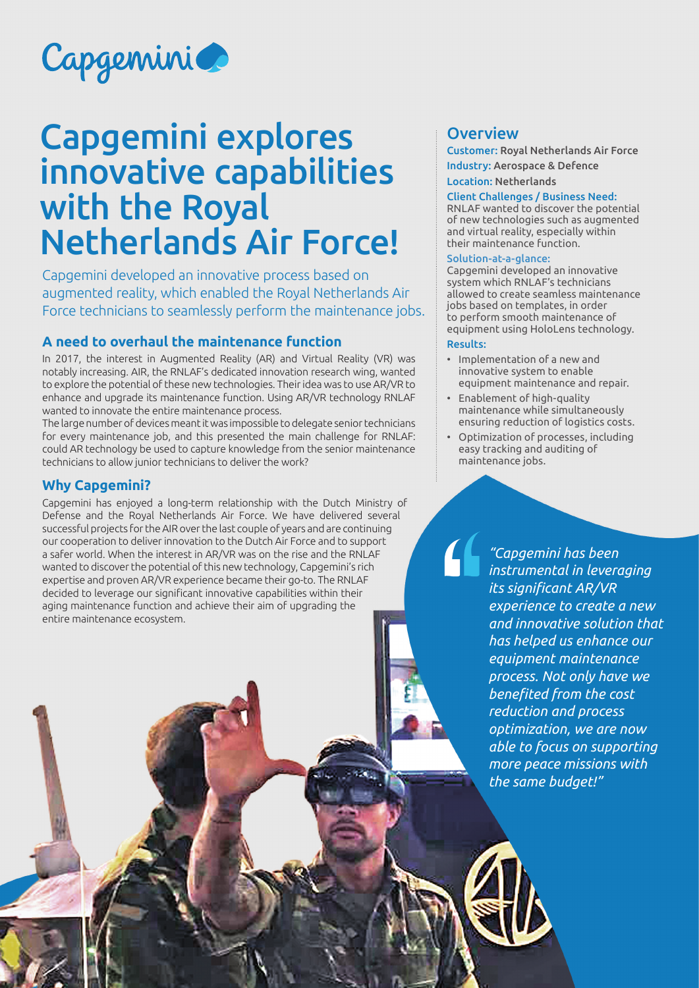

# Capgemini explores innovative capabilities with the Royal Netherlands Air Force!

Capgemini developed an innovative process based on augmented reality, which enabled the Royal Netherlands Air Force technicians to seamlessly perform the maintenance jobs.

## **A need to overhaul the maintenance function**

In 2017, the interest in Augmented Reality (AR) and Virtual Reality (VR) was notably increasing. AIR, the RNLAF's dedicated innovation research wing, wanted to explore the potential of these new technologies. Their idea was to use AR/VR to enhance and upgrade its maintenance function. Using AR/VR technology RNLAF wanted to innovate the entire maintenance process.

The large number of devices meant it was impossible to delegate senior technicians for every maintenance job, and this presented the main challenge for RNLAF: could AR technology be used to capture knowledge from the senior maintenance technicians to allow junior technicians to deliver the work?

#### **Why Capgemini?**

Capgemini has enjoyed a long-term relationship with the Dutch Ministry of Defense and the Royal Netherlands Air Force. We have delivered several successful projects for the AIR over the last couple of years and are continuing our cooperation to deliver innovation to the Dutch Air Force and to support a safer world. When the interest in AR/VR was on the rise and the RNLAF wanted to discover the potential of this new technology, Capgemini's rich expertise and proven AR/VR experience became their go-to. The RNLAF decided to leverage our significant innovative capabilities within their aging maintenance function and achieve their aim of upgrading the entire maintenance ecosystem.

### **Overview**

Customer: Royal Netherlands Air Force Industry: Aerospace & Defence Location: Netherlands

#### Client Challenges / Business Need:

RNLAF wanted to discover the potential of new technologies such as augmented and virtual reality, especially within their maintenance function.

#### Solution-at-a-glance:

Capgemini developed an innovative system which RNLAF's technicians allowed to create seamless maintenance jobs based on templates, in order to perform smooth maintenance of equipment using HoloLens technology.

#### Results:

- Implementation of a new and innovative system to enable equipment maintenance and repair.
- Enablement of high-quality maintenance while simultaneously ensuring reduction of logistics costs.
- Optimization of processes, including easy tracking and auditing of maintenance jobs.

*"Capgemini has been instrumental in leveraging its significant AR/VR experience to create a new and innovative solution that has helped us enhance our equipment maintenance process. Not only have we benefited from the cost reduction and process optimization, we are now able to focus on supporting more peace missions with the same budget!"*